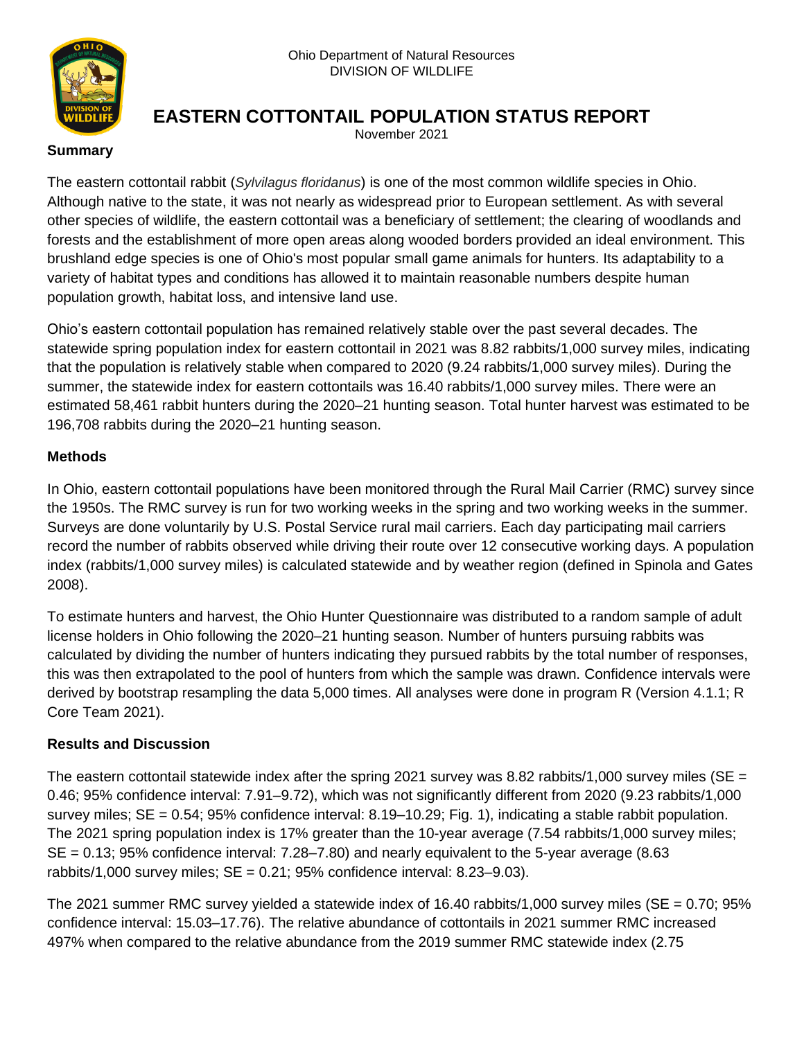

# **EASTERN COTTONTAIL POPULATION STATUS REPORT**

November 2021

#### **Summary**

The eastern cottontail rabbit (*Sylvilagus floridanus*) is one of the most common wildlife species in Ohio. Although native to the state, it was not nearly as widespread prior to European settlement. As with several other species of wildlife, the eastern cottontail was a beneficiary of settlement; the clearing of woodlands and forests and the establishment of more open areas along wooded borders provided an ideal environment. This brushland edge species is one of Ohio's most popular small game animals for hunters. Its adaptability to a variety of habitat types and conditions has allowed it to maintain reasonable numbers despite human population growth, habitat loss, and intensive land use.

Ohio's eastern cottontail population has remained relatively stable over the past several decades. The statewide spring population index for eastern cottontail in 2021 was 8.82 rabbits/1,000 survey miles, indicating that the population is relatively stable when compared to 2020 (9.24 rabbits/1,000 survey miles). During the summer, the statewide index for eastern cottontails was 16.40 rabbits/1,000 survey miles. There were an estimated 58,461 rabbit hunters during the 2020–21 hunting season. Total hunter harvest was estimated to be 196,708 rabbits during the 2020–21 hunting season.

### **Methods**

In Ohio, eastern cottontail populations have been monitored through the Rural Mail Carrier (RMC) survey since the 1950s. The RMC survey is run for two working weeks in the spring and two working weeks in the summer. Surveys are done voluntarily by U.S. Postal Service rural mail carriers. Each day participating mail carriers record the number of rabbits observed while driving their route over 12 consecutive working days. A population index (rabbits/1,000 survey miles) is calculated statewide and by weather region (defined in Spinola and Gates 2008).

To estimate hunters and harvest, the Ohio Hunter Questionnaire was distributed to a random sample of adult license holders in Ohio following the 2020–21 hunting season. Number of hunters pursuing rabbits was calculated by dividing the number of hunters indicating they pursued rabbits by the total number of responses, this was then extrapolated to the pool of hunters from which the sample was drawn. Confidence intervals were derived by bootstrap resampling the data 5,000 times. All analyses were done in program R (Version 4.1.1; R Core Team 2021).

## **Results and Discussion**

The eastern cottontail statewide index after the spring 2021 survey was 8.82 rabbits/1,000 survey miles (SE = 0.46; 95% confidence interval: 7.91–9.72), which was not significantly different from 2020 (9.23 rabbits/1,000 survey miles; SE = 0.54; 95% confidence interval: 8.19–10.29; Fig. 1), indicating a stable rabbit population. The 2021 spring population index is 17% greater than the 10-year average (7.54 rabbits/1,000 survey miles;  $SE = 0.13$ ; 95% confidence interval: 7.28–7.80) and nearly equivalent to the 5-year average (8.63 rabbits/1,000 survey miles;  $SE = 0.21$ ; 95% confidence interval: 8.23–9.03).

The 2021 summer RMC survey yielded a statewide index of 16.40 rabbits/1,000 survey miles (SE = 0.70; 95% confidence interval: 15.03–17.76). The relative abundance of cottontails in 2021 summer RMC increased 497% when compared to the relative abundance from the 2019 summer RMC statewide index (2.75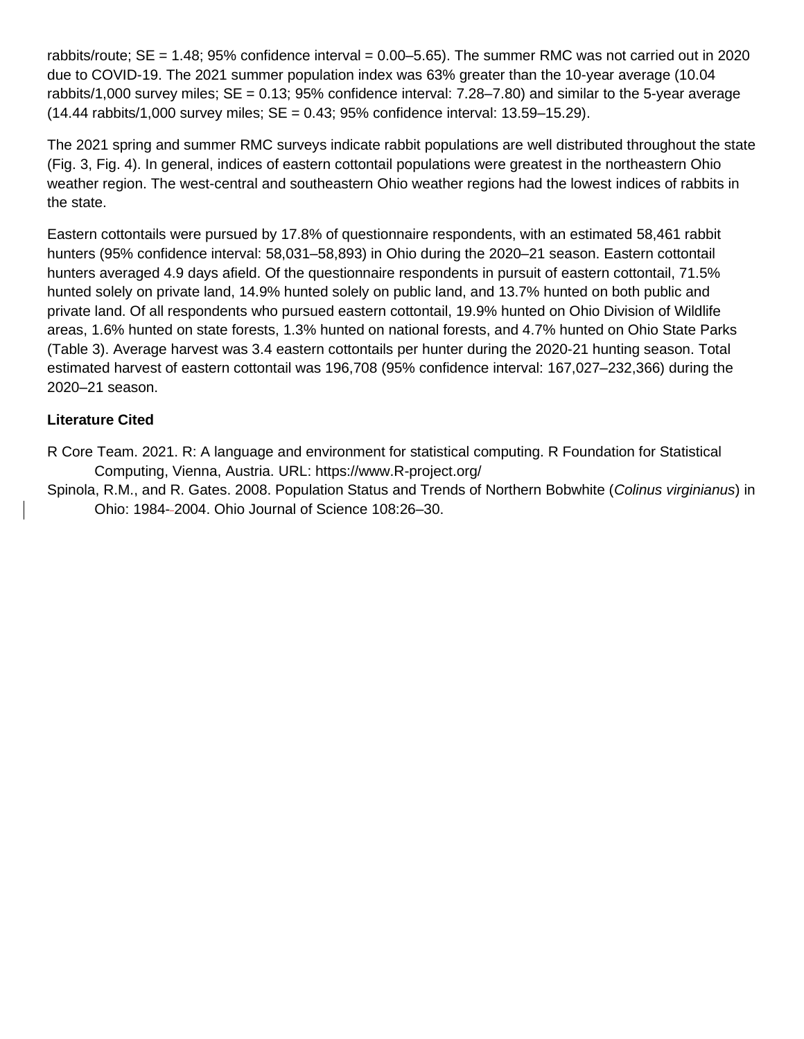rabbits/route; SE = 1.48; 95% confidence interval = 0.00–5.65). The summer RMC was not carried out in 2020 due to COVID-19. The 2021 summer population index was 63% greater than the 10-year average (10.04 rabbits/1,000 survey miles; SE = 0.13; 95% confidence interval: 7.28–7.80) and similar to the 5-year average  $(14.44 \text{ rabbits}/1,000 \text{ survey miles}; \text{SE} = 0.43; 95\% \text{ confidence interval}: 13.59-15.29).$ 

The 2021 spring and summer RMC surveys indicate rabbit populations are well distributed throughout the state (Fig. 3, Fig. 4). In general, indices of eastern cottontail populations were greatest in the northeastern Ohio weather region. The west-central and southeastern Ohio weather regions had the lowest indices of rabbits in the state.

Eastern cottontails were pursued by 17.8% of questionnaire respondents, with an estimated 58,461 rabbit hunters (95% confidence interval: 58,031–58,893) in Ohio during the 2020–21 season. Eastern cottontail hunters averaged 4.9 days afield. Of the questionnaire respondents in pursuit of eastern cottontail, 71.5% hunted solely on private land, 14.9% hunted solely on public land, and 13.7% hunted on both public and private land. Of all respondents who pursued eastern cottontail, 19.9% hunted on Ohio Division of Wildlife areas, 1.6% hunted on state forests, 1.3% hunted on national forests, and 4.7% hunted on Ohio State Parks (Table 3). Average harvest was 3.4 eastern cottontails per hunter during the 2020-21 hunting season. Total estimated harvest of eastern cottontail was 196,708 (95% confidence interval: 167,027–232,366) during the 2020–21 season.

## **Literature Cited**

- R Core Team. 2021. R: A language and environment for statistical computing. R Foundation for Statistical Computing, Vienna, Austria. URL: https://www.R-project.org/
- Spinola, R.M., and R. Gates. 2008. Population Status and Trends of Northern Bobwhite (*Colinus virginianus*) in Ohio: 1984- 2004. Ohio Journal of Science 108:26–30.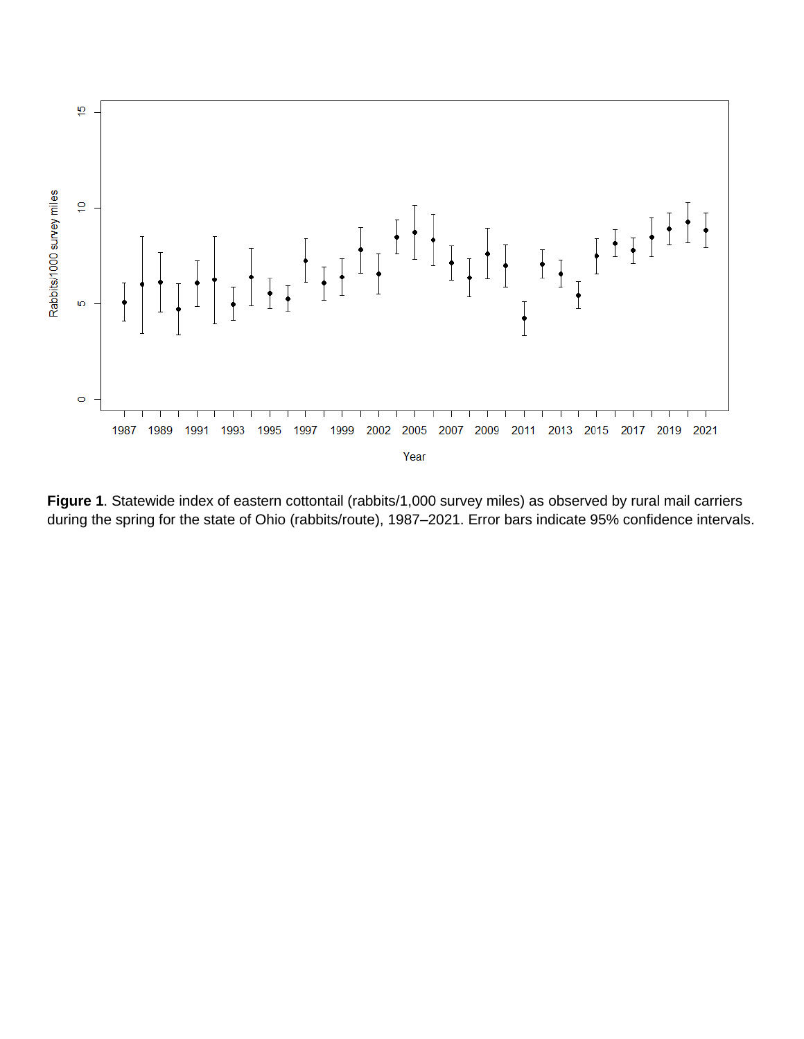

**Figure 1**. Statewide index of eastern cottontail (rabbits/1,000 survey miles) as observed by rural mail carriers during the spring for the state of Ohio (rabbits/route), 1987–2021. Error bars indicate 95% confidence intervals.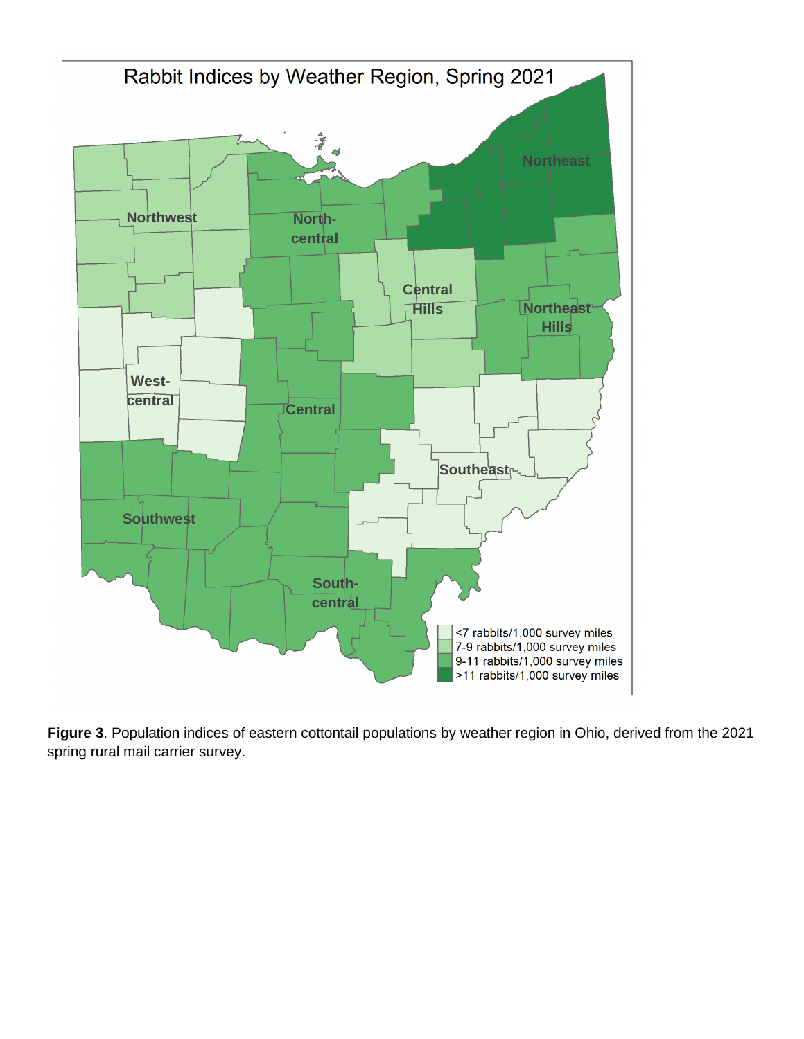

**Figure 3**. Population indices of eastern cottontail populations by weather region in Ohio, derived from the 2021 spring rural mail carrier survey.